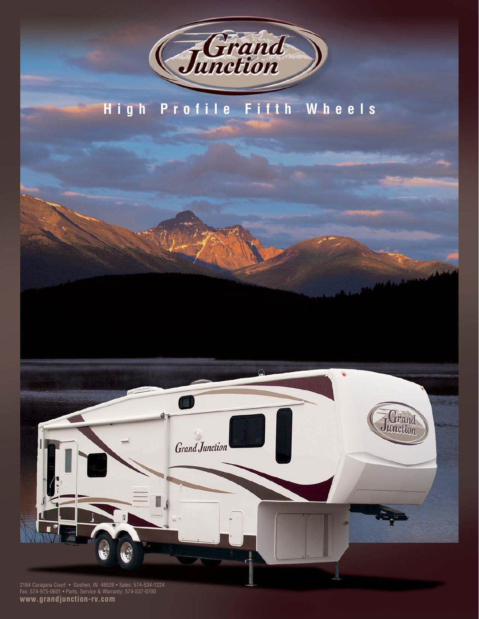

# **High Profile Fifth Wheels**



Fax: 574-975-0601 • Parts, Service & Warranty: 574-537-0700 **www.grandjunction-rv.com**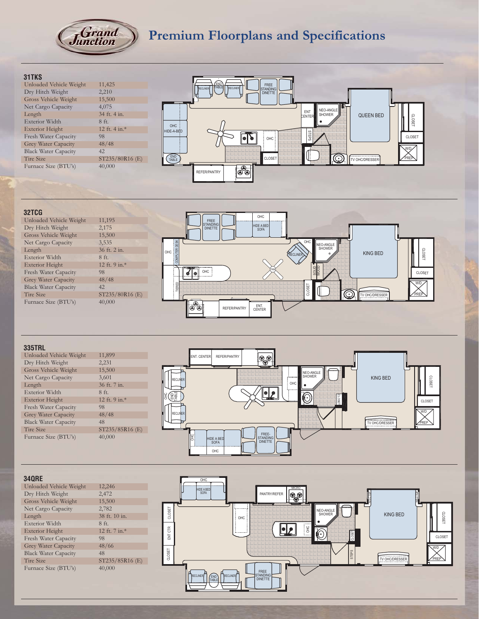

# **Premium Floorplans and Specifications**

#### **31TKS**

| 11,425          |
|-----------------|
| 2,210           |
| 15,500          |
| 4,075           |
| 34 ft. 4 in.    |
| $8f$ ft.        |
| 12 ft. 4 in.*   |
| 98              |
| 48/48           |
| 42              |
| ST235/80R16 (E) |
| 40,000          |
|                 |



## **32TCG**

| Unloaded Vehicle Weight     | 11,195           |
|-----------------------------|------------------|
| Dry Hitch Weight            | 2,175            |
| Gross Vehicle Weight        | 15,500           |
| Net Cargo Capacity          | 3,535            |
| Length                      | 36 ft. 2 in.     |
| Exterior Width              | $8f$ ft.         |
| <b>Exterior Height</b>      | 12 ft. 9 in. $*$ |
| Fresh Water Capacity        | 98               |
| Grey Water Capacity         | 48/48            |
| <b>Black Water Capacity</b> | 42               |
| <b>Tire Size</b>            | ST235/80R16 (E)  |
| Furnace Size (BTU's)        | 40,000           |
|                             |                  |



### **335TRL**

| Unloaded Vehicle Weight     | 11,899           |
|-----------------------------|------------------|
| Dry Hitch Weight            | 2,231            |
| Gross Vehicle Weight        | 15,500           |
| Net Cargo Capacity          | 3,601            |
| Length                      | 36 ft. 7 in.     |
| Exterior Width              | $8f$ ft.         |
| <b>Exterior Height</b>      | 12 ft. 9 in. $*$ |
| Fresh Water Capacity        | 98               |
| <b>Grey Water Capacity</b>  | 48/48            |
| <b>Black Water Capacity</b> | 48               |
| Tire Size                   | ST235/85R16 (E)  |
| Furnace Size (BTU's)        | 40,000           |



### **34QRE**

| 12,246          |
|-----------------|
| 2,472           |
| 15,500          |
| 2,782           |
| 38 ft. 10 in.   |
| $8f$ ft.        |
| 12 ft. 7 in.*   |
| 98              |
| 48/66           |
| 48              |
| ST235/85R16 (E) |
| 40,000          |
|                 |

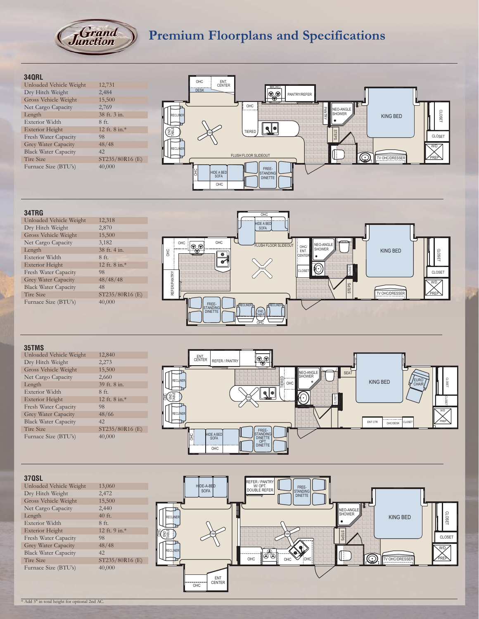

# **Premium Floorplans and Specifications**

#### **34QRL** OHC ENT. CENTER Unloaded Vehicle Weight 12,731<br>Dry Hitch Weight 2,484 DESK **MICRO** Dry Hitch Weight 2,484<br>Gross Vehicle Weight 15,500 00 PANTRY/REFER Gross Vehicle Weight 15,500<br>Net Cargo Capacity 2,769 OHC Net Cargo Capacity<br>Length NEO-ANGLE SHOWER PANTRY 38 ft. 3 in. KING BED RECLINER<br>**TABLE** CLOSET Exterior Width 8 ft. ¶∙ Exterior Height 12 ft. 8 in.\*<br>Fresh Water Capacity 98 **END TIERED** STEPS FAN Fresh Water Capacity CLOSET Grey Water Capacity 48/48<br>Black Water Capacity 42 W/D RECLINER Black Water Capacity<br>Tire Size FLUSH FLOOR SLIDEOUT  $\odot$ ST235/80R16 (E) TV OHC PREP Furnace Size (BTU's) 40,000 FREE-OHC HIDE A BED STANDING DINETTE **OHC**

#### **34TRG**

| Unloaded Vehicle Weight     | 12,318          |
|-----------------------------|-----------------|
| Dry Hitch Weight            | 2,870           |
| Gross Vehicle Weight        | 15,500          |
| Net Cargo Capacity          | 3,182           |
| Length                      | 38 ft. 4 in.    |
| Exterior Width              | $8f$ ft.        |
| <b>Exterior Height</b>      | 12 ft. 8 in.*   |
| Fresh Water Capacity        | 98              |
| Grey Water Capacity         | 48/48/48        |
| <b>Black Water Capacity</b> | 48              |
| Tire Size                   | ST235/80R16 (E) |
| Furnace Size (BTU's)        | 40,000          |
|                             |                 |



#### **35TMS**

| Unloaded Vehicle Weight     | 12,840          |
|-----------------------------|-----------------|
| Dry Hitch Weight            | 2,273           |
| Gross Vehicle Weight        | 15,500          |
| Net Cargo Capacity          | 2,660           |
| Length                      | 39 ft. 8 in.    |
| Exterior Width              | $8f_{t}$ .      |
| <b>Exterior Height</b>      | 12 ft. 8 in.*   |
| Fresh Water Capacity        | 98              |
| Grey Water Capacity         | 48/66           |
| <b>Black Water Capacity</b> | 42              |
| <b>Tire Size</b>            | ST235/80R16 (E) |
| Furnace Size (BTU's)        | 40,000          |



#### **37QSL** REFER / PANTRY<br>DOUBLE REFER<br>DOUBLE REFER Unloaded Vehicle Weight 13,060<br>Dry Hitch Weight 2,472  $DE-A-BE$ SOFA Dry Hitch Weight 2,472<br>Gross Vehicle Weight 15,500 STANDING DINETTE Gross Vehicle Weight 15,500<br>Net Cargo Capacity 2,440 Net Cargo Capacity 2,440<br>Length 40 ft. NEO-ANGLE SHOWER **CLOSET** Length 40 ft<br>Exterior Width 8 ft. KING BED RECLINER<br>TABLE DES<br>BE Exterior Width Exterior Height 12 ft. 9 in.\* 오<br>금 STEPS 문<sub>로</sub> :) A AN FAN CLOSET Fresh Water Capacity 98<br>Grey Water Capacity 48/48 Grey Water Capacity W/D OHC **OO OHC** Black Water Capacity 42<br>Tire Size 5T RECLINER (I Q. TV OHC/DRESSE ST235/80R16 (E)<br>40,000 Furnace Size (BTU's) ENT CENTER OHC